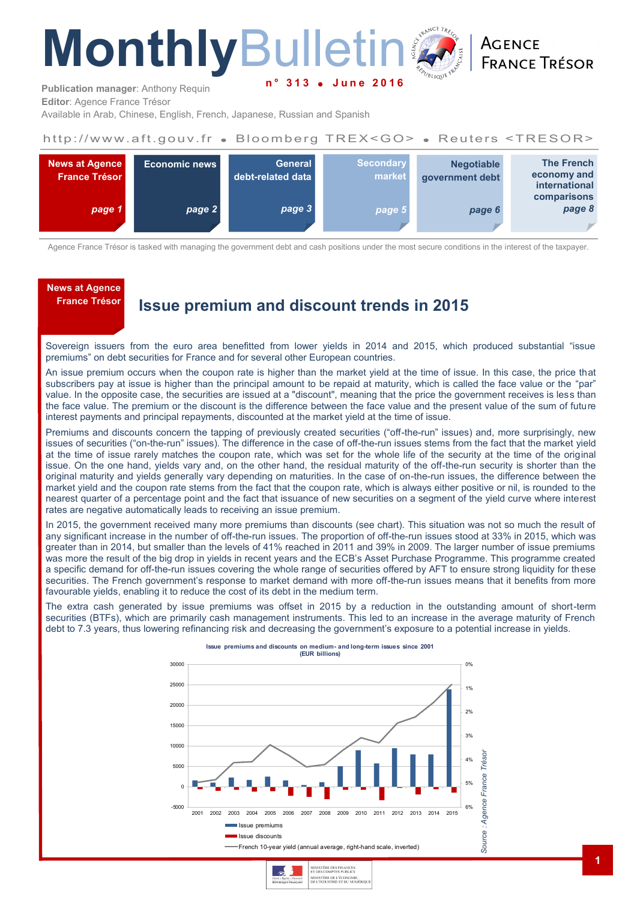# **Monthly**Bulleti **June 20**

**ACENCE FRANCE TRÉSOR** 

**Publication manager**: Anthony Requin **Editor**: Agence France Trésor

Available in Arab, Chinese, English, French, Japanese, Russian and Spanish

#### http://www.aft.gouv.fr . Bloomberg TREX<GO> . Reuters <TRESOR>



Agence France Trésor is tasked with managing the government debt and cash positions under the most secure conditions in the interest of the taxpayer.

## **News at Agence**

### **France Trésor Issue premium and discount trends in 2015**

Sovereign issuers from the euro area benefitted from lower yields in 2014 and 2015, which produced substantial "issue premiums" on debt securities for France and for several other European countries.

An issue premium occurs when the coupon rate is higher than the market yield at the time of issue. In this case, the price that subscribers pay at issue is higher than the principal amount to be repaid at maturity, which is called the face value or the "par" value. In the opposite case, the securities are issued at a "discount", meaning that the price the government receives is less than the face value. The premium or the discount is the difference between the face value and the present value of the sum of future interest payments and principal repayments, discounted at the market yield at the time of issue.

Premiums and discounts concern the tapping of previously created securities ("off-the-run" issues) and, more surprisingly, new issues of securities ("on-the-run" issues). The difference in the case of off-the-run issues stems from the fact that the market yield at the time of issue rarely matches the coupon rate, which was set for the whole life of the security at the time of the original issue. On the one hand, yields vary and, on the other hand, the residual maturity of the off-the-run security is shorter than the original maturity and yields generally vary depending on maturities. In the case of on-the-run issues, the difference between the market yield and the coupon rate stems from the fact that the coupon rate, which is always either positive or nil, is rounded to the nearest quarter of a percentage point and the fact that issuance of new securities on a segment of the yield curve where interest rates are negative automatically leads to receiving an issue premium.

In 2015, the government received many more premiums than discounts (see chart). This situation was not so much the result of any significant increase in the number of off-the-run issues. The proportion of off-the-run issues stood at 33% in 2015, which was greater than in 2014, but smaller than the levels of 41% reached in 2011 and 39% in 2009. The larger number of issue premiums was more the result of the big drop in yields in recent years and the ECB's Asset Purchase Programme. This programme created a specific demand for off-the-run issues covering the whole range of securities offered by AFT to ensure strong liquidity for these securities. The French government's response to market demand with more off-the-run issues means that it benefits from more favourable yields, enabling it to reduce the cost of its debt in the medium term.

The extra cash generated by issue premiums was offset in 2015 by a reduction in the outstanding amount of short-term securities (BTFs), which are primarily cash management instruments. This led to an increase in the average maturity of French debt to 7.3 years, thus lowering refinancing risk and decreasing the government's exposure to a potential increase in yields.



MINISTÈRE DE L'ÉCONOMIE,<br>DE L'INDUSTRIE ET DU NUMÉRIQU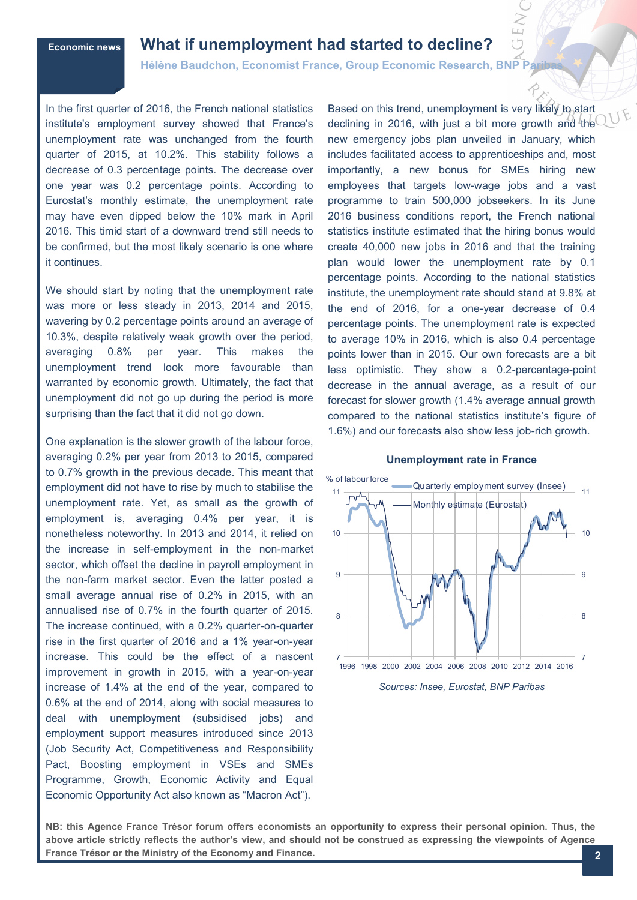### **Economic news What if unemployment had started to decline?**

**Hélène Baudchon, Economist France, Group Economic Research, BNP Pa** 

In the first quarter of 2016, the French national statistics institute's employment survey showed that France's unemployment rate was unchanged from the fourth quarter of 2015, at 10.2%. This stability follows a decrease of 0.3 percentage points. The decrease over one year was 0.2 percentage points. According to Eurostat's monthly estimate, the unemployment rate may have even dipped below the 10% mark in April 2016. This timid start of a downward trend still needs to be confirmed, but the most likely scenario is one where it continues.

We should start by noting that the unemployment rate was more or less steady in 2013, 2014 and 2015, wavering by 0.2 percentage points around an average of 10.3%, despite relatively weak growth over the period, averaging 0.8% per year. This makes the unemployment trend look more favourable than warranted by economic growth. Ultimately, the fact that unemployment did not go up during the period is more surprising than the fact that it did not go down.

One explanation is the slower growth of the labour force, averaging 0.2% per year from 2013 to 2015, compared to 0.7% growth in the previous decade. This meant that employment did not have to rise by much to stabilise the unemployment rate. Yet, as small as the growth of employment is, averaging 0.4% per year, it is nonetheless noteworthy. In 2013 and 2014, it relied on the increase in self-employment in the non-market sector, which offset the decline in payroll employment in the non-farm market sector. Even the latter posted a small average annual rise of 0.2% in 2015, with an annualised rise of 0.7% in the fourth quarter of 2015. The increase continued, with a 0.2% quarter-on-quarter rise in the first quarter of 2016 and a 1% year-on-year increase. This could be the effect of a nascent improvement in growth in 2015, with a year-on-year increase of 1.4% at the end of the year, compared to 0.6% at the end of 2014, along with social measures to deal with unemployment (subsidised jobs) and employment support measures introduced since 2013 (Job Security Act, Competitiveness and Responsibility Pact, Boosting employment in VSEs and SMEs Programme, Growth, Economic Activity and Equal Economic Opportunity Act also known as "Macron Act").

Based on this trend, unemployment is very likely to start declining in 2016, with just a bit more growth and the new emergency jobs plan unveiled in January, which includes facilitated access to apprenticeships and, most importantly, a new bonus for SMEs hiring new employees that targets low-wage jobs and a vast programme to train 500,000 jobseekers. In its June 2016 business conditions report, the French national statistics institute estimated that the hiring bonus would create 40,000 new jobs in 2016 and that the training plan would lower the unemployment rate by 0.1 percentage points. According to the national statistics institute, the unemployment rate should stand at 9.8% at the end of 2016, for a one-year decrease of 0.4 percentage points. The unemployment rate is expected to average 10% in 2016, which is also 0.4 percentage points lower than in 2015. Our own forecasts are a bit less optimistic. They show a 0.2-percentage-point decrease in the annual average, as a result of our forecast for slower growth (1.4% average annual growth compared to the national statistics institute's figure of 1.6%) and our forecasts also show less job-rich growth.

#### **Unemployment rate in France**



*Sources: Insee, Eurostat, BNP Paribas*

**NB: this Agence France Trésor forum offers economists an opportunity to express their personal opinion. Thus, the above article strictly reflects the author's view, and should not be construed as expressing the viewpoints of Agence France Trésor or the Ministry of the Economy and Finance.**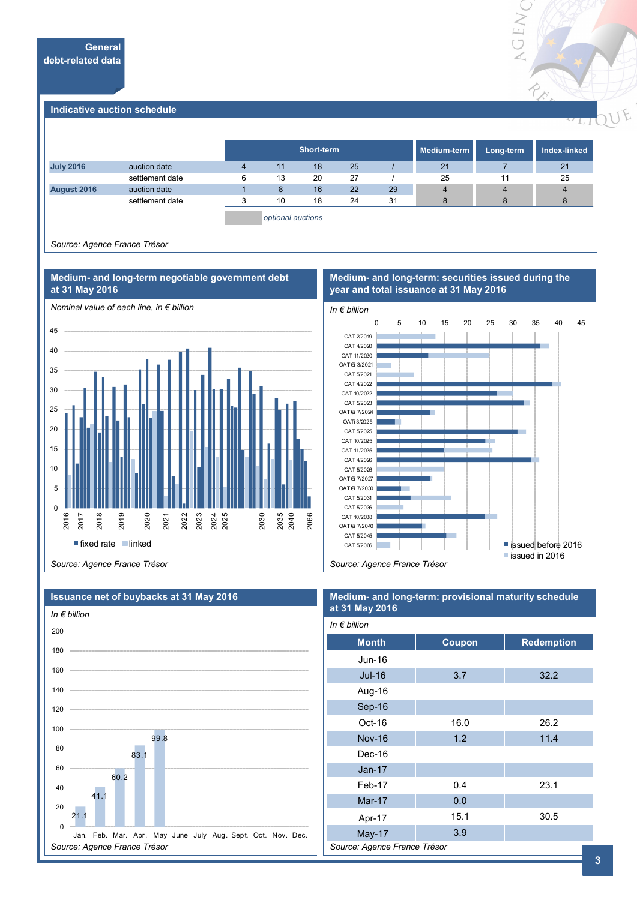

#### **Indicative auction schedule**

|                  |                 | Short-term |    |    | Medium-term | Long-term | Index-linked |    |
|------------------|-----------------|------------|----|----|-------------|-----------|--------------|----|
| <b>July 2016</b> | auction date    | 11         | 18 | 25 |             | 21        |              | 21 |
|                  | settlement date | 13         | 20 | 27 |             | 25        | 11           | 25 |
| August 2016      | auction date    |            | 16 | 22 | 29          |           | 4            |    |
|                  | settlement date | 10         | 18 | 24 | 31          |           | 8            | 8  |
|                  |                 |            |    |    |             |           |              |    |

*optional auctions*

*Source: Agence France Trésor*



**Medium- and long-term negotiable government debt** 

#### **Medium- and long-term: securities issued during the year and total issuance at 31 May 2016**



*Source: Agence France Trésor*



#### **Issuance net of buybacks at 31 May 2016**

#### **Medium- and long-term: provisional maturity schedule at 31 May 2016**  $I_n \subset F$  *billi*

| $m \in p$ <i>nnon</i>        |        |                   |  |  |  |  |
|------------------------------|--------|-------------------|--|--|--|--|
| <b>Month</b>                 | Coupon | <b>Redemption</b> |  |  |  |  |
| Jun-16                       |        |                   |  |  |  |  |
| Jul-16                       | 3.7    | 32.2              |  |  |  |  |
| Aug-16                       |        |                   |  |  |  |  |
| Sep-16                       |        |                   |  |  |  |  |
| Oct-16                       | 16.0   | 26.2              |  |  |  |  |
| <b>Nov-16</b>                | 1.2    | 11.4              |  |  |  |  |
| Dec-16                       |        |                   |  |  |  |  |
| <b>Jan-17</b>                |        |                   |  |  |  |  |
| Feb-17                       | 0.4    | 23.1              |  |  |  |  |
| Mar-17                       | 0.0    |                   |  |  |  |  |
| Apr-17                       | 15.1   | 30.5              |  |  |  |  |
| <b>May-17</b>                | 3.9    |                   |  |  |  |  |
| Source: Agence France Trésor |        |                   |  |  |  |  |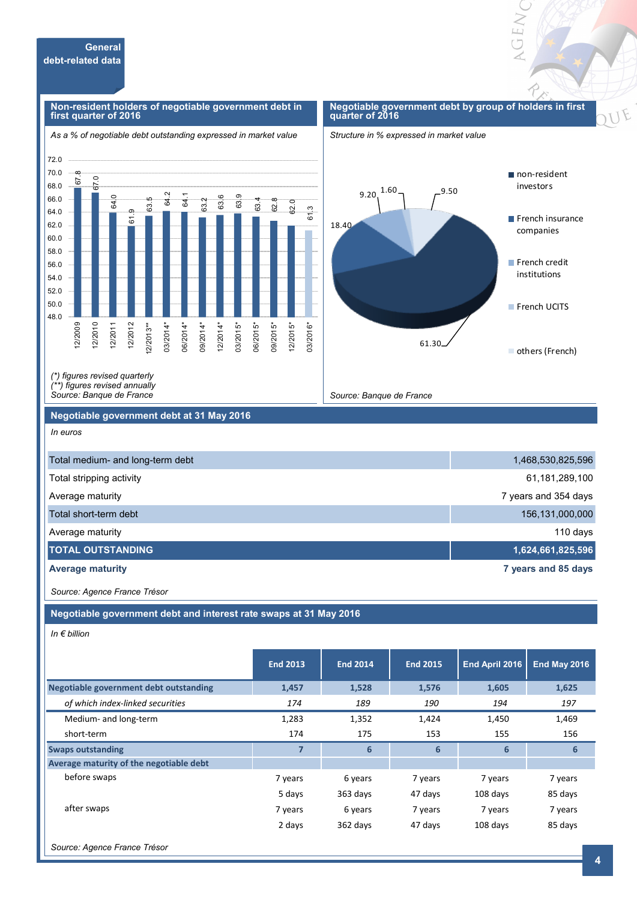

*(\*) figures revised quarterly (\*\*) figures revised annually* 

*Source: Banque de France*

#### **Negotiable government debt at 31 May 2016**

*In euros*

48.0 50.0 52.0 54.0 56.0 58.0 60.0

12/2009 12/2010 12/2011 12/2012  $2/2013**$ 03/2014\* 06/2014\* 09/2014\* 12/2014\* 03/2015\* 06/2015\* 09/2015\* 12/2015\* 03/2016\*

| Total medium- and long-term debt | 1,468,530,825,596    |
|----------------------------------|----------------------|
| Total stripping activity         | 61,181,289,100       |
| Average maturity                 | 7 years and 354 days |
| Total short-term debt            | 156,131,000,000      |
| Average maturity                 | 110 days             |
| <b>TOTAL OUTSTANDING</b>         | 1,624,661,825,596    |
| <b>Average maturity</b>          | 7 years and 85 days  |

*Source: Banque de France*

*Source: Agence France Trésor*

**Negotiable government debt and interest rate swaps at 31 May 2016**

*In € billion*

|                                               | <b>End 2013</b> | <b>End 2014</b> | <b>End 2015</b> | End April 2016 | <b>End May 2016</b> |
|-----------------------------------------------|-----------------|-----------------|-----------------|----------------|---------------------|
| <b>Negotiable government debt outstanding</b> | 1,457           | 1,528           | 1,576           | 1,605          | 1,625               |
| of which index-linked securities              | 174             | 189             | 190             | 194            | 197                 |
| Medium- and long-term                         | 1,283           | 1,352           | 1,424           | 1,450          | 1,469               |
| short-term                                    | 174             | 175             | 153             | 155            | 156                 |
| <b>Swaps outstanding</b>                      | 7               | 6               | 6               | 6              | 6                   |
| Average maturity of the negotiable debt       |                 |                 |                 |                |                     |
| before swaps                                  | 7 years         | 6 years         | 7 years         | 7 years        | 7 years             |
|                                               | 5 days          | 363 days        | 47 days         | 108 days       | 85 days             |
| after swaps                                   | 7 years         | 6 years         | 7 years         | 7 years        | 7 years             |
|                                               | 2 days          | 362 days        | 47 days         | 108 days       | 85 days             |
|                                               |                 |                 |                 |                |                     |

*Source: Agence France Trésor*

OEN

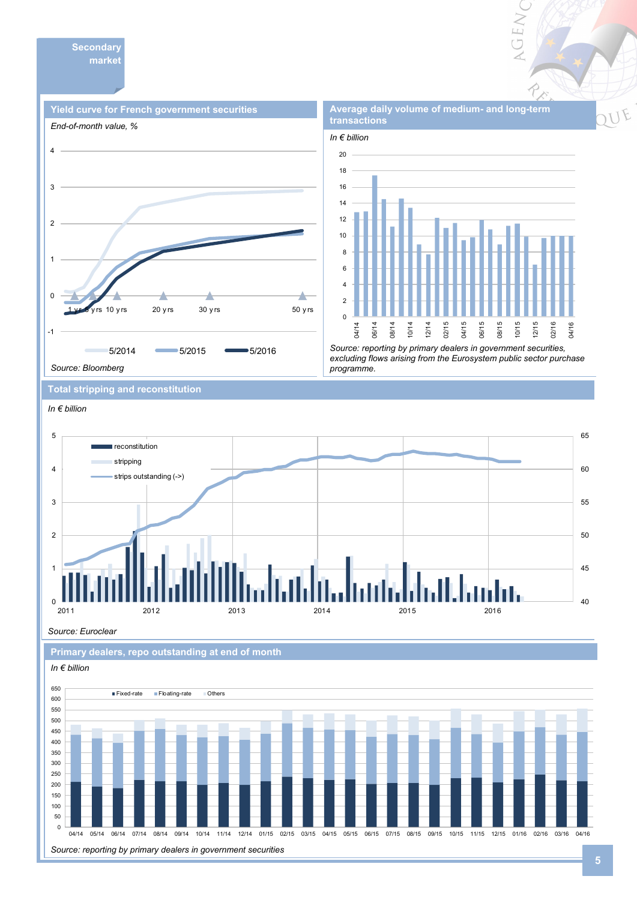



*Source: reporting by primary dealers in government securities, excluding flows arising from the Eurosystem public sector purchase programme.* 

**Total stripping and reconstitution** 



*Source: Euroclear*

**Primary dealers, repo outstanding at end of month** 



**GEN**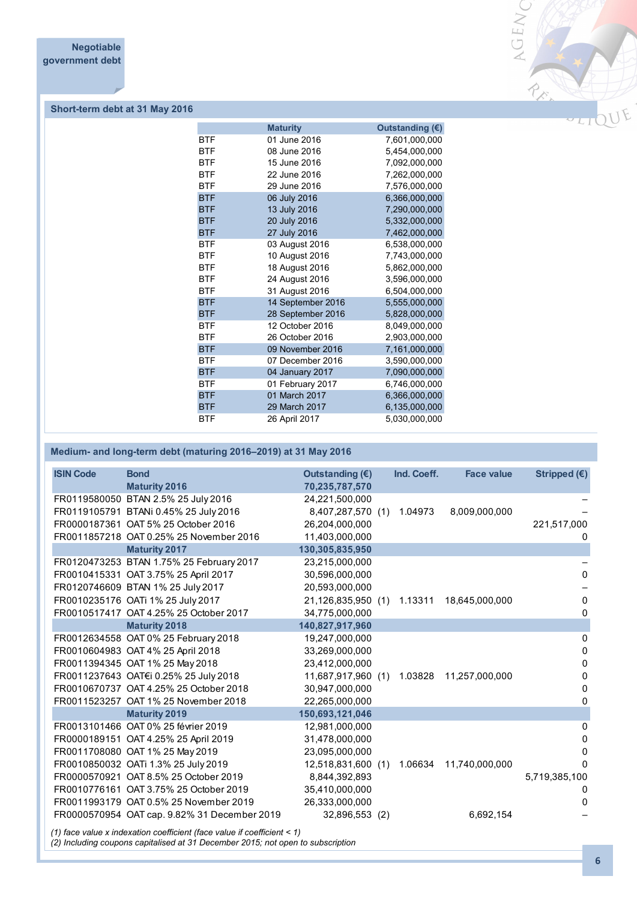

#### **Short-term debt at 31 May 2016**

|            | <b>Maturity</b>   | Outstanding (€) |
|------------|-------------------|-----------------|
| <b>BTF</b> | 01 June 2016      | 7,601,000,000   |
| <b>BTF</b> | 08 June 2016      | 5,454,000,000   |
| <b>BTF</b> | 15 June 2016      | 7,092,000,000   |
| <b>BTF</b> | 22 June 2016      | 7,262,000,000   |
| <b>BTF</b> | 29 June 2016      | 7,576,000,000   |
| <b>BTF</b> | 06 July 2016      | 6,366,000,000   |
| <b>BTF</b> | 13 July 2016      | 7,290,000,000   |
| <b>BTF</b> | 20 July 2016      | 5,332,000,000   |
| <b>BTF</b> | 27 July 2016      | 7,462,000,000   |
| <b>BTF</b> | 03 August 2016    | 6,538,000,000   |
| <b>BTF</b> | 10 August 2016    | 7,743,000,000   |
| <b>BTF</b> | 18 August 2016    | 5,862,000,000   |
| <b>BTF</b> | 24 August 2016    | 3,596,000,000   |
| <b>BTF</b> | 31 August 2016    | 6,504,000,000   |
| <b>BTF</b> | 14 September 2016 | 5,555,000,000   |
| <b>BTF</b> | 28 September 2016 | 5,828,000,000   |
| <b>BTF</b> | 12 October 2016   | 8,049,000,000   |
| <b>BTF</b> | 26 October 2016   | 2,903,000,000   |
| <b>BTF</b> | 09 November 2016  | 7,161,000,000   |
| <b>BTF</b> | 07 December 2016  | 3,590,000,000   |
| <b>BTF</b> | 04 January 2017   | 7,090,000,000   |
| <b>BTF</b> | 01 February 2017  | 6,746,000,000   |
| <b>BTF</b> | 01 March 2017     | 6,366,000,000   |
| <b>BTF</b> | 29 March 2017     | 6,135,000,000   |
| <b>BTF</b> | 26 April 2017     | 5,030,000,000   |

#### **Medium- and long-term debt (maturing 2016–2019) at 31 May 2016**

| <b>ISIN Code</b> | <b>Bond</b>                                  | Outstanding $(E)$  | Ind. Coeff. | <b>Face value</b> | Stripped $(€)$ |
|------------------|----------------------------------------------|--------------------|-------------|-------------------|----------------|
|                  | <b>Maturity 2016</b>                         | 70,235,787,570     |             |                   |                |
|                  | FR0119580050 BTAN 2.5% 25 July 2016          | 24,221,500,000     |             |                   |                |
|                  | FR0119105791 BTANi 0.45% 25 July 2016        | 8,407,287,570 (1)  | 1.04973     | 8,009,000,000     |                |
|                  | FR0000187361 OAT 5% 25 October 2016          | 26,204,000,000     |             |                   | 221,517,000    |
|                  | FR0011857218 OAT 0.25% 25 November 2016      | 11,403,000,000     |             |                   |                |
|                  | <b>Maturity 2017</b>                         | 130,305,835,950    |             |                   |                |
|                  | FR0120473253 BTAN 1.75% 25 February 2017     | 23,215,000,000     |             |                   |                |
|                  | FR0010415331 OAT 3.75% 25 April 2017         | 30,596,000,000     |             |                   | $\Omega$       |
|                  | FR0120746609 BTAN 1% 25 July 2017            | 20,593,000,000     |             |                   |                |
|                  | FR0010235176 OATi 1% 25 July 2017            | 21,126,835,950 (1) | 1.13311     | 18,645,000,000    | 0              |
|                  | FR0010517417 OAT 4.25% 25 October 2017       | 34,775,000,000     |             |                   | 0              |
|                  | <b>Maturity 2018</b>                         | 140,827,917,960    |             |                   |                |
|                  | FR0012634558 OAT 0% 25 February 2018         | 19,247,000,000     |             |                   | 0              |
|                  | FR0010604983 OAT 4% 25 April 2018            | 33,269,000,000     |             |                   | 0              |
|                  | FR0011394345 OAT 1% 25 May 2018              | 23,412,000,000     |             |                   | 0              |
|                  | FR0011237643 OAT€i 0.25% 25 July 2018        | 11,687,917,960 (1) | 1.03828     | 11,257,000,000    | 0              |
|                  | FR0010670737 OAT 4.25% 25 October 2018       | 30,947,000,000     |             |                   | 0              |
|                  | FR0011523257 OAT 1% 25 November 2018         | 22,265,000,000     |             |                   | 0              |
|                  | <b>Maturity 2019</b>                         | 150,693,121,046    |             |                   |                |
|                  | FR0013101466 OAT 0% 25 février 2019          | 12,981,000,000     |             |                   | 0              |
|                  | FR0000189151 OAT 4.25% 25 April 2019         | 31,478,000,000     |             |                   | 0              |
|                  | FR0011708080 OAT 1% 25 May 2019              | 23,095,000,000     |             |                   | 0              |
|                  | FR0010850032 OATi 1.3% 25 July 2019          | 12,518,831,600 (1) | 1.06634     | 11,740,000,000    | 0              |
|                  | FR0000570921 OAT 8.5% 25 October 2019        | 8,844,392,893      |             |                   | 5,719,385,100  |
|                  | FR0010776161 OAT 3.75% 25 October 2019       | 35,410,000,000     |             |                   | $^{(1)}$       |
|                  | FR0011993179 OAT 0.5% 25 November 2019       | 26,333,000,000     |             |                   | 0              |
|                  | FR0000570954 OAT cap. 9.82% 31 December 2019 | 32,896,553 (2)     |             | 6,692,154         |                |
|                  |                                              |                    |             |                   |                |

*(1) face value x indexation coefficient (face value if coefficient < 1)*

*(2) Including coupons capitalised at 31 December 2015; not open to subscription*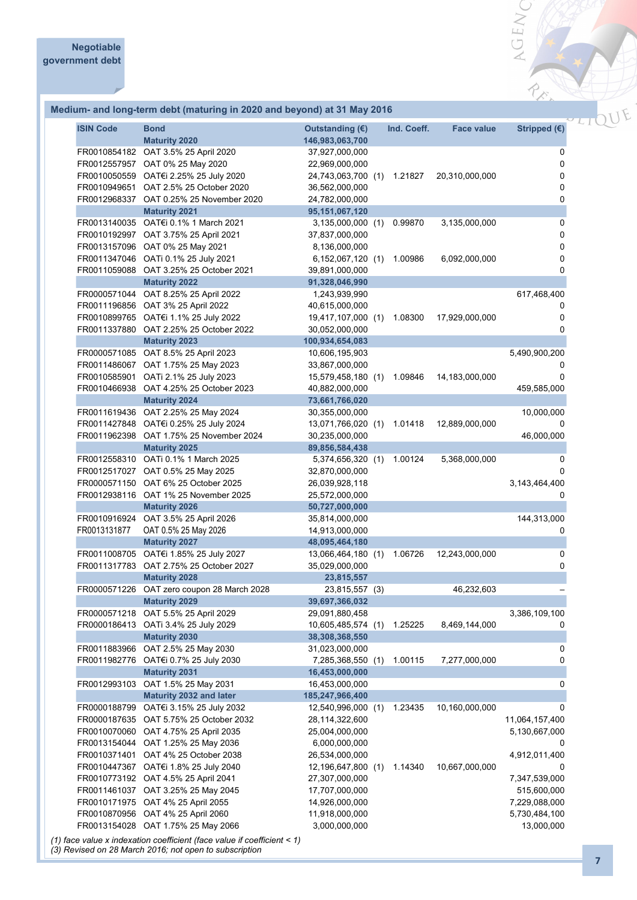#### **Medium- and long-term debt (maturing in 2020 and beyond) at 31 May 2016**

| <b>ISIN Code</b>             | <b>Bond</b><br><b>Maturity 2020</b>                           | Outstanding $(E)$<br>146,983,063,700 | Ind. Coeff. | <b>Face value</b> | Stripped (€)   |
|------------------------------|---------------------------------------------------------------|--------------------------------------|-------------|-------------------|----------------|
| FR0010854182<br>FR0012557957 | OAT 3.5% 25 April 2020<br>OAT 0% 25 May 2020                  | 37,927,000,000<br>22,969,000,000     |             |                   | 0<br>0         |
|                              | FR0010050559 OAT€i 2.25% 25 July 2020                         | 24,743,063,700 (1)                   | 1.21827     | 20,310,000,000    | 0              |
| FR0010949651                 | OAT 2.5% 25 October 2020                                      | 36,562,000,000                       |             |                   | 0              |
| FR0012968337                 | OAT 0.25% 25 November 2020                                    | 24,782,000,000                       |             |                   | 0              |
|                              | <b>Maturity 2021</b>                                          | 95, 151, 067, 120                    |             |                   |                |
| FR0013140035                 | OAT€i 0.1% 1 March 2021                                       | 3,135,000,000 (1)                    | 0.99870     | 3,135,000,000     | 0              |
|                              | FR0010192997 OAT 3.75% 25 April 2021                          | 37,837,000,000                       |             |                   | 0              |
|                              | FR0013157096 OAT 0% 25 May 2021                               | 8,136,000,000                        |             |                   | 0              |
|                              | FR0011347046 OATi 0.1% 25 July 2021                           | 6,152,067,120(1)                     | 1.00986     | 6,092,000,000     | 0              |
|                              | FR0011059088 OAT 3.25% 25 October 2021                        | 39,891,000,000                       |             |                   | 0              |
|                              | <b>Maturity 2022</b>                                          | 91,328,046,990                       |             |                   |                |
| FR0000571044                 | OAT 8.25% 25 April 2022                                       | 1,243,939,990                        |             |                   | 617,468,400    |
|                              | FR0011196856 OAT 3% 25 April 2022                             | 40,615,000,000                       |             |                   | 0              |
|                              | FR0010899765 OAT€i 1.1% 25 July 2022                          | 19,417,107,000 (1)                   | 1.08300     | 17,929,000,000    | 0              |
|                              | FR0011337880 OAT 2.25% 25 October 2022                        | 30,052,000,000                       |             |                   | 0              |
|                              | <b>Maturity 2023</b>                                          | 100,934,654,083                      |             |                   |                |
| FR0000571085                 | OAT 8.5% 25 April 2023                                        | 10,606,195,903                       |             |                   | 5,490,900,200  |
| FR0011486067                 | OAT 1.75% 25 May 2023                                         | 33,867,000,000                       |             |                   |                |
| FR0010585901                 | OATi 2.1% 25 July 2023                                        | 15,579,458,180 (1)                   | 1.09846     | 14,183,000,000    | 0              |
|                              | FR0010466938 OAT 4.25% 25 October 2023                        | 40,882,000,000                       |             |                   | 459,585,000    |
|                              | <b>Maturity 2024</b>                                          | 73,661,766,020                       |             |                   |                |
|                              | FR0011619436 OAT 2.25% 25 May 2024                            | 30,355,000,000                       |             |                   | 10,000,000     |
| FR0011427848                 | OAT€i 0.25% 25 July 2024                                      | 13,071,766,020 (1)                   | 1.01418     | 12,889,000,000    | 0              |
|                              | FR0011962398 OAT 1.75% 25 November 2024                       | 30,235,000,000                       |             |                   | 46,000,000     |
|                              | <b>Maturity 2025</b>                                          | 89,856,584,438                       |             |                   |                |
|                              | FR0012558310 OATi 0.1% 1 March 2025                           | 5,374,656,320 (1)                    | 1.00124     | 5,368,000,000     | 0              |
| FR0012517027                 | OAT 0.5% 25 May 2025                                          | 32,870,000,000                       |             |                   | 0              |
|                              | FR0000571150 OAT 6% 25 October 2025                           | 26,039,928,118                       |             |                   | 3,143,464,400  |
|                              | FR0012938116 OAT 1% 25 November 2025                          | 25,572,000,000                       |             |                   | 0              |
|                              | <b>Maturity 2026</b>                                          | 50,727,000,000                       |             |                   |                |
|                              | FR0010916924 OAT 3.5% 25 April 2026                           | 35,814,000,000                       |             |                   | 144,313,000    |
| FR0013131877                 | OAT 0.5% 25 May 2026                                          | 14,913,000,000<br>48,095,464,180     |             |                   | 0              |
|                              | <b>Maturity 2027</b><br>FR0011008705 OAT€i 1.85% 25 July 2027 | 13,066,464,180 (1)                   | 1.06726     | 12,243,000,000    | 0              |
|                              | FR0011317783 OAT 2.75% 25 October 2027                        | 35,029,000,000                       |             |                   | 0              |
|                              | <b>Maturity 2028</b>                                          | 23,815,557                           |             |                   |                |
| FR0000571226                 | OAT zero coupon 28 March 2028                                 | 23,815,557 (3)                       |             | 46,232,603        |                |
|                              | <b>Maturity 2029</b>                                          | 39,697,366,032                       |             |                   |                |
| FR0000571218                 | OAT 5.5% 25 April 2029                                        | 29,091,880,458                       |             |                   | 3,386,109,100  |
|                              | FR0000186413 OATi 3.4% 25 July 2029                           | 10,605,485,574 (1)                   | 1.25225     | 8,469,144,000     | 0              |
|                              | <b>Maturity 2030</b>                                          | 38,308,368,550                       |             |                   |                |
| FR0011883966                 | OAT 2.5% 25 May 2030                                          | 31,023,000,000                       |             |                   | 0              |
| FR0011982776                 | OAT€i 0.7% 25 July 2030                                       | 7,285,368,550 (1)                    | 1.00115     | 7,277,000,000     | 0              |
|                              | <b>Maturity 2031</b>                                          | 16,453,000,000                       |             |                   |                |
|                              | FR0012993103 OAT 1.5% 25 May 2031                             | 16,453,000,000                       |             |                   | 0              |
|                              | <b>Maturity 2032 and later</b>                                | 185,247,966,400                      |             |                   |                |
| FR0000188799                 | OAT€i 3.15% 25 July 2032                                      | 12,540,996,000 (1)                   | 1.23435     | 10,160,000,000    | 0              |
| FR0000187635                 | OAT 5.75% 25 October 2032                                     | 28,114,322,600                       |             |                   | 11,064,157,400 |
| FR0010070060                 | OAT 4.75% 25 April 2035                                       | 25,004,000,000                       |             |                   | 5,130,667,000  |
| FR0013154044                 | OAT 1.25% 25 May 2036                                         | 6,000,000,000                        |             |                   | 0              |
| FR0010371401                 | OAT 4% 25 October 2038                                        | 26,534,000,000                       |             |                   | 4,912,011,400  |
| FR0010447367                 | OAT€i 1.8% 25 July 2040                                       | 12,196,647,800 (1)                   | 1.14340     | 10,667,000,000    | 0              |
|                              | FR0010773192 OAT 4.5% 25 April 2041                           | 27,307,000,000                       |             |                   | 7,347,539,000  |
| FR0011461037                 | OAT 3.25% 25 May 2045                                         | 17,707,000,000                       |             |                   | 515,600,000    |
| FR0010171975                 | OAT 4% 25 April 2055                                          | 14,926,000,000                       |             |                   | 7,229,088,000  |
|                              | FR0010870956 OAT 4% 25 April 2060                             | 11,918,000,000                       |             |                   | 5,730,484,100  |
|                              | FR0013154028 OAT 1.75% 25 May 2066<br>aaaffisisat (faas valu  | 3,000,000,000                        |             |                   | 13,000,000     |

*(1) face value x indexation coefficient (face value if coefficient < 1)*

*(3) Revised on 28 March 2016; not open to subscription*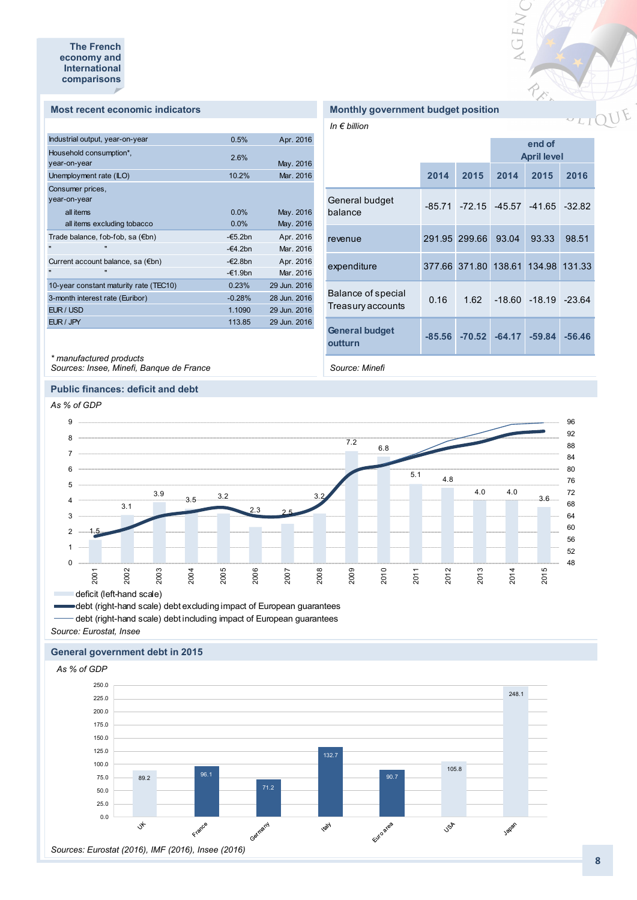#### **Most recent economic indicators**

| Industrial output, year-on-year        | 0.5%              | Apr. 2016    |
|----------------------------------------|-------------------|--------------|
| Household consumption*,                | 2.6%              |              |
| year-on-year                           |                   | May. 2016    |
| Unemployment rate (ILO)                | 10.2%             | Mar. 2016    |
| Consumer prices,                       |                   |              |
| year-on-year                           |                   |              |
| all items                              | $0.0\%$           | May. 2016    |
| all items excluding tobacco            | 0.0%              | May. 2016    |
| Trade balance, fob-fob, sa (€bn)       | $-\epsilon$ 5.2bn | Apr. 2016    |
| $\blacksquare$<br>$\mathbf{u}$         | $-64.2$ bn        | Mar. 2016    |
| Current account balance, sa (€bn)      | $-\epsilon$ 2.8bn | Apr. 2016    |
| $\mathbf{u}$<br>$\blacksquare$         | $-61.9$ bn        | Mar. 2016    |
| 10-year constant maturity rate (TEC10) | 0.23%             | 29 Jun. 2016 |
| 3-month interest rate (Euribor)        | $-0.28%$          | 28 Jun. 2016 |
| EUR / USD                              | 1.1090            | 29 Jun. 2016 |
| EUR / JPY                              | 113.85            | 29 Jun. 2016 |
|                                        |                   |              |

#### **Monthly government budget position**

*In € billion*

|                                         |      |                                     | end of<br><b>April level</b> |                          |          |  |
|-----------------------------------------|------|-------------------------------------|------------------------------|--------------------------|----------|--|
|                                         | 2014 | 2015                                | 2014                         | 2015                     | 2016     |  |
| General budget<br>balance               |      | $-85.71$ $-72.15$ $-45.57$ $-41.65$ |                              |                          | $-32.82$ |  |
| revenue                                 |      | 291.95 299.66                       | 93.04                        | 93.33                    | 98.51    |  |
| expenditure                             |      | 377.66 371.80 138.61                |                              | 134.98                   | 131.33   |  |
| Balance of special<br>Treasury accounts | 0.16 | 1.62                                |                              | $-18.60 - 18.19 - 23.64$ |          |  |
| <b>General budget</b><br>outturn        |      | $-85.56$ $-70.52$                   | $-64.17$                     | $-59.84$                 | $-56.46$ |  |

VGENC

River

*Source: Minefi*

### *Sources: Insee, Minefi, Banque de France*

*\* manufactured products* 

#### **Public finances: deficit and debt**



debt (right-hand scale) debt excluding impact of European guarantees debt (right-hand scale) debt including impact of European guarantees

*Source: Eurostat, Insee*

#### **General government debt in 2015**